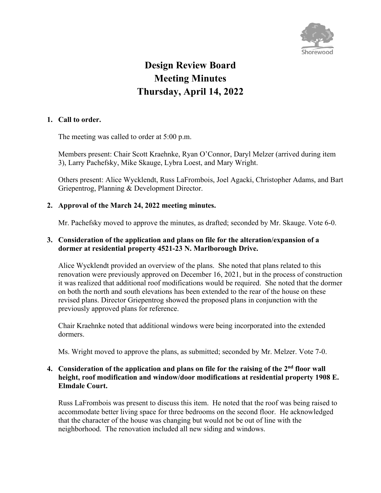

# **Design Review Board Meeting Minutes Thursday, April 14, 2022**

### **1. Call to order.**

The meeting was called to order at 5:00 p.m.

Members present: Chair Scott Kraehnke, Ryan O'Connor, Daryl Melzer (arrived during item 3), Larry Pachefsky, Mike Skauge, Lybra Loest, and Mary Wright.

Others present: Alice Wycklendt, Russ LaFrombois, Joel Agacki, Christopher Adams, and Bart Griepentrog, Planning & Development Director.

#### **2. Approval of the March 24, 2022 meeting minutes.**

Mr. Pachefsky moved to approve the minutes, as drafted; seconded by Mr. Skauge. Vote 6-0.

#### **3. Consideration of the application and plans on file for the alteration/expansion of a dormer at residential property 4521-23 N. Marlborough Drive.**

Alice Wycklendt provided an overview of the plans. She noted that plans related to this renovation were previously approved on December 16, 2021, but in the process of construction it was realized that additional roof modifications would be required. She noted that the dormer on both the north and south elevations has been extended to the rear of the house on these revised plans. Director Griepentrog showed the proposed plans in conjunction with the previously approved plans for reference.

Chair Kraehnke noted that additional windows were being incorporated into the extended dormers.

Ms. Wright moved to approve the plans, as submitted; seconded by Mr. Melzer. Vote 7-0.

#### **4. Consideration of the application and plans on file for the raising of the 2nd floor wall height, roof modification and window/door modifications at residential property 1908 E. Elmdale Court.**

Russ LaFrombois was present to discuss this item. He noted that the roof was being raised to accommodate better living space for three bedrooms on the second floor. He acknowledged that the character of the house was changing but would not be out of line with the neighborhood. The renovation included all new siding and windows.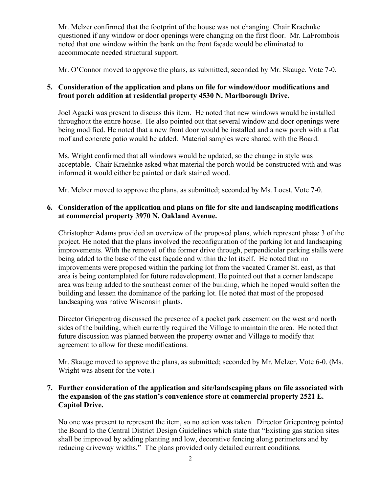Mr. Melzer confirmed that the footprint of the house was not changing. Chair Kraehnke questioned if any window or door openings were changing on the first floor. Mr. LaFrombois noted that one window within the bank on the front façade would be eliminated to accommodate needed structural support.

Mr. O'Connor moved to approve the plans, as submitted; seconded by Mr. Skauge. Vote 7-0.

### **5. Consideration of the application and plans on file for window/door modifications and front porch addition at residential property 4530 N. Marlborough Drive.**

Joel Agacki was present to discuss this item. He noted that new windows would be installed throughout the entire house. He also pointed out that several window and door openings were being modified. He noted that a new front door would be installed and a new porch with a flat roof and concrete patio would be added. Material samples were shared with the Board.

Ms. Wright confirmed that all windows would be updated, so the change in style was acceptable. Chair Kraehnke asked what material the porch would be constructed with and was informed it would either be painted or dark stained wood.

Mr. Melzer moved to approve the plans, as submitted; seconded by Ms. Loest. Vote 7-0.

### **6. Consideration of the application and plans on file for site and landscaping modifications at commercial property 3970 N. Oakland Avenue.**

Christopher Adams provided an overview of the proposed plans, which represent phase 3 of the project. He noted that the plans involved the reconfiguration of the parking lot and landscaping improvements. With the removal of the former drive through, perpendicular parking stalls were being added to the base of the east façade and within the lot itself. He noted that no improvements were proposed within the parking lot from the vacated Cramer St. east, as that area is being contemplated for future redevelopment. He pointed out that a corner landscape area was being added to the southeast corner of the building, which he hoped would soften the building and lessen the dominance of the parking lot. He noted that most of the proposed landscaping was native Wisconsin plants.

Director Griepentrog discussed the presence of a pocket park easement on the west and north sides of the building, which currently required the Village to maintain the area. He noted that future discussion was planned between the property owner and Village to modify that agreement to allow for these modifications.

Mr. Skauge moved to approve the plans, as submitted; seconded by Mr. Melzer. Vote 6-0. (Ms. Wright was absent for the vote.)

#### **7. Further consideration of the application and site/landscaping plans on file associated with the expansion of the gas station's convenience store at commercial property 2521 E. Capitol Drive.**

No one was present to represent the item, so no action was taken. Director Griepentrog pointed the Board to the Central District Design Guidelines which state that "Existing gas station sites shall be improved by adding planting and low, decorative fencing along perimeters and by reducing driveway widths." The plans provided only detailed current conditions.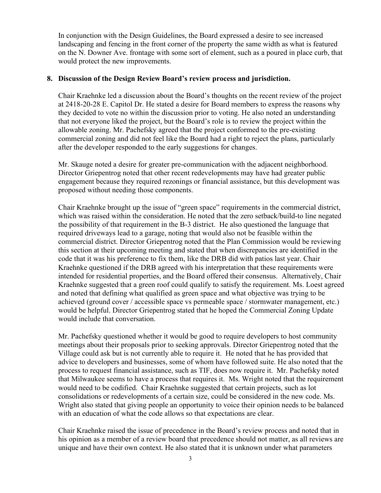In conjunction with the Design Guidelines, the Board expressed a desire to see increased landscaping and fencing in the front corner of the property the same width as what is featured on the N. Downer Ave. frontage with some sort of element, such as a poured in place curb, that would protect the new improvements.

#### **8. Discussion of the Design Review Board's review process and jurisdiction.**

Chair Kraehnke led a discussion about the Board's thoughts on the recent review of the project at 2418-20-28 E. Capitol Dr. He stated a desire for Board members to express the reasons why they decided to vote no within the discussion prior to voting. He also noted an understanding that not everyone liked the project, but the Board's role is to review the project within the allowable zoning. Mr. Pachefsky agreed that the project conformed to the pre-existing commercial zoning and did not feel like the Board had a right to reject the plans, particularly after the developer responded to the early suggestions for changes.

Mr. Skauge noted a desire for greater pre-communication with the adjacent neighborhood. Director Griepentrog noted that other recent redevelopments may have had greater public engagement because they required rezonings or financial assistance, but this development was proposed without needing those components.

Chair Kraehnke brought up the issue of "green space" requirements in the commercial district, which was raised within the consideration. He noted that the zero setback/build-to line negated the possibility of that requirement in the B-3 district. He also questioned the language that required driveways lead to a garage, noting that would also not be feasible within the commercial district. Director Griepentrog noted that the Plan Commission would be reviewing this section at their upcoming meeting and stated that when discrepancies are identified in the code that it was his preference to fix them, like the DRB did with patios last year. Chair Kraehnke questioned if the DRB agreed with his interpretation that these requirements were intended for residential properties, and the Board offered their consensus. Alternatively, Chair Kraehnke suggested that a green roof could qualify to satisfy the requirement. Ms. Loest agreed and noted that defining what qualified as green space and what objective was trying to be achieved (ground cover / accessible space vs permeable space / stormwater management, etc.) would be helpful. Director Griepentrog stated that he hoped the Commercial Zoning Update would include that conversation.

Mr. Pachefsky questioned whether it would be good to require developers to host community meetings about their proposals prior to seeking approvals. Director Griepentrog noted that the Village could ask but is not currently able to require it. He noted that he has provided that advice to developers and businesses, some of whom have followed suite. He also noted that the process to request financial assistance, such as TIF, does now require it. Mr. Pachefsky noted that Milwaukee seems to have a process that requires it. Ms. Wright noted that the requirement would need to be codified. Chair Kraehnke suggested that certain projects, such as lot consolidations or redevelopments of a certain size, could be considered in the new code. Ms. Wright also stated that giving people an opportunity to voice their opinion needs to be balanced with an education of what the code allows so that expectations are clear.

Chair Kraehnke raised the issue of precedence in the Board's review process and noted that in his opinion as a member of a review board that precedence should not matter, as all reviews are unique and have their own context. He also stated that it is unknown under what parameters